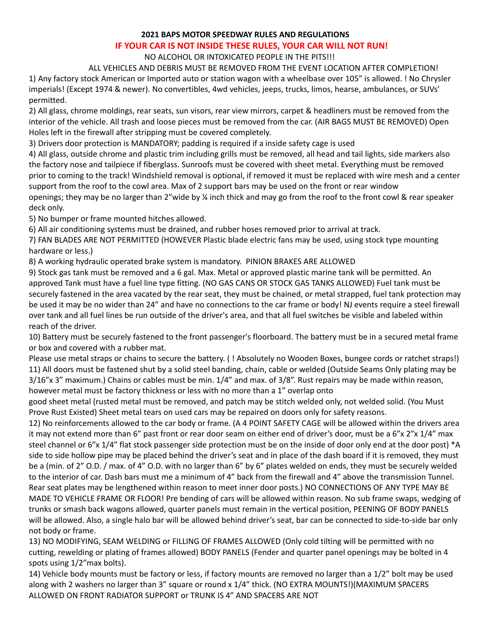#### **2021 BAPS MOTOR SPEEDWAY RULES AND REGULATIONS**

# **IF YOUR CAR IS NOT INSIDE THESE RULES, YOUR CAR WILL NOT RUN!**

# NO ALCOHOL OR INTOXICATED PEOPLE IN THE PITS!!!

ALL VEHICLES AND DEBRIS MUST BE REMOVED FROM THE EVENT LOCATION AFTER COMPLETION! 1) Any factory stock American or Imported auto or station wagon with a wheelbase over 105" is allowed. ! No Chrysler imperials! (Except 1974 & newer). No convertibles, 4wd vehicles, jeeps, trucks, limos, hearse, ambulances, or SUVs' permitted.

2) All glass, chrome moldings, rear seats, sun visors, rear view mirrors, carpet & headliners must be removed from the interior of the vehicle. All trash and loose pieces must be removed from the car. (AIR BAGS MUST BE REMOVED) Open Holes left in the firewall after stripping must be covered completely.

3) Drivers door protection is MANDATORY; padding is required if a inside safety cage is used

4) All glass, outside chrome and plastic trim including grills must be removed, all head and tail lights, side markers also the factory nose and tailpiece if fiberglass. Sunroofs must be covered with sheet metal. Everything must be removed prior to coming to the track! Windshield removal is optional, if removed it must be replaced with wire mesh and a center support from the roof to the cowl area. Max of 2 support bars may be used on the front or rear window openings; they may be no larger than 2"wide by ¼ inch thick and may go from the roof to the front cowl & rear speaker deck only.

5) No bumper or frame mounted hitches allowed.

6) All air conditioning systems must be drained, and rubber hoses removed prior to arrival at track.

7) FAN BLADES ARE NOT PERMITTED (HOWEVER Plastic blade electric fans may be used, using stock type mounting hardware or less.)

8) A working hydraulic operated brake system is mandatory. PINION BRAKES ARE ALLOWED

9) Stock gas tank must be removed and a 6 gal. Max. Metal or approved plastic marine tank will be permitted. An approved Tank must have a fuel line type fitting. (NO GAS CANS OR STOCK GAS TANKS ALLOWED) Fuel tank must be securely fastened in the area vacated by the rear seat, they must be chained, or metal strapped, fuel tank protection may be used it may be no wider than 24" and have no connections to the car frame or body! NJ events require a steel firewall over tank and all fuel lines be run outside of the driver's area, and that all fuel switches be visible and labeled within reach of the driver.

10) Battery must be securely fastened to the front passenger's floorboard. The battery must be in a secured metal frame or box and covered with a rubber mat.

Please use metal straps or chains to secure the battery. ( ! Absolutely no Wooden Boxes, bungee cords or ratchet straps!) 11) All doors must be fastened shut by a solid steel banding, chain, cable or welded (Outside Seams Only plating may be 3/16"x 3" maximum.) Chains or cables must be min. 1/4" and max. of 3/8". Rust repairs may be made within reason, however metal must be factory thickness or less with no more than a 1" overlap onto

good sheet metal (rusted metal must be removed, and patch may be stitch welded only, not welded solid. (You Must Prove Rust Existed) Sheet metal tears on used cars may be repaired on doors only for safety reasons.

12) No reinforcements allowed to the car body or frame. (A 4 POINT SAFETY CAGE will be allowed within the drivers area it may not extend more than 6" past front or rear door seam on either end of driver's door, must be a 6"x 2"x 1/4" max steel channel or 6"x 1/4" flat stock passenger side protection must be on the inside of door only end at the door post) \*A side to side hollow pipe may be placed behind the driver's seat and in place of the dash board if it is removed, they must be a (min. of 2" O.D. / max. of 4" O.D. with no larger than 6" by 6" plates welded on ends, they must be securely welded to the interior of car. Dash bars must me a minimum of 4" back from the firewall and 4" above the transmission Tunnel. Rear seat plates may be lengthened within reason to meet inner door posts.) NO CONNECTIONS OF ANY TYPE MAY BE MADE TO VEHICLE FRAME OR FLOOR! Pre bending of cars will be allowed within reason. No sub frame swaps, wedging of trunks or smash back wagons allowed, quarter panels must remain in the vertical position, PEENING OF BODY PANELS will be allowed. Also, a single halo bar will be allowed behind driver's seat, bar can be connected to side-to-side bar only not body or frame.

13) NO MODIFYING, SEAM WELDING or FILLING OF FRAMES ALLOWED (Only cold tilting will be permitted with no cutting, rewelding or plating of frames allowed) BODY PANELS (Fender and quarter panel openings may be bolted in 4 spots using 1/2"max bolts).

14) Vehicle body mounts must be factory or less, if factory mounts are removed no larger than a 1/2" bolt may be used along with 2 washers no larger than 3" square or round x 1/4" thick. (NO EXTRA MOUNTS!)(MAXIMUM SPACERS ALLOWED ON FRONT RADIATOR SUPPORT or TRUNK IS 4" AND SPACERS ARE NOT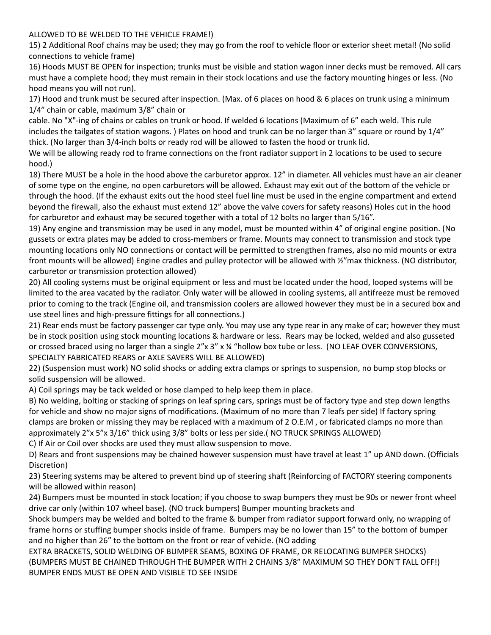### ALLOWED TO BE WELDED TO THE VEHICLE FRAME!)

15) 2 Additional Roof chains may be used; they may go from the roof to vehicle floor or exterior sheet metal! (No solid connections to vehicle frame)

16) Hoods MUST BE OPEN for inspection; trunks must be visible and station wagon inner decks must be removed. All cars must have a complete hood; they must remain in their stock locations and use the factory mounting hinges or less. (No hood means you will not run).

17) Hood and trunk must be secured after inspection. (Max. of 6 places on hood & 6 places on trunk using a minimum 1/4" chain or cable, maximum 3/8" chain or

cable. No "X"-ing of chains or cables on trunk or hood. If welded 6 locations (Maximum of 6" each weld. This rule includes the tailgates of station wagons. ) Plates on hood and trunk can be no larger than 3" square or round by 1/4" thick. (No larger than 3/4-inch bolts or ready rod will be allowed to fasten the hood or trunk lid.

We will be allowing ready rod to frame connections on the front radiator support in 2 locations to be used to secure hood.)

18) There MUST be a hole in the hood above the carburetor approx. 12" in diameter. All vehicles must have an air cleaner of some type on the engine, no open carburetors will be allowed. Exhaust may exit out of the bottom of the vehicle or through the hood. (If the exhaust exits out the hood steel fuel line must be used in the engine compartment and extend beyond the firewall, also the exhaust must extend 12" above the valve covers for safety reasons) Holes cut in the hood for carburetor and exhaust may be secured together with a total of 12 bolts no larger than 5/16".

19) Any engine and transmission may be used in any model, must be mounted within 4" of original engine position. (No gussets or extra plates may be added to cross-members or frame. Mounts may connect to transmission and stock type mounting locations only NO connections or contact will be permitted to strengthen frames, also no mid mounts or extra front mounts will be allowed) Engine cradles and pulley protector will be allowed with 1/2" max thickness. (NO distributor, carburetor or transmission protection allowed)

20) All cooling systems must be original equipment or less and must be located under the hood, looped systems will be limited to the area vacated by the radiator. Only water will be allowed in cooling systems, all antifreeze must be removed prior to coming to the track (Engine oil, and transmission coolers are allowed however they must be in a secured box and use steel lines and high-pressure fittings for all connections.)

21) Rear ends must be factory passenger car type only. You may use any type rear in any make of car; however they must be in stock position using stock mounting locations & hardware or less. Rears may be locked, welded and also gusseted or crossed braced using no larger than a single 2"x 3" x % "hollow box tube or less. (NO LEAF OVER CONVERSIONS, SPECIALTY FABRICATED REARS or AXLE SAVERS WILL BE ALLOWED)

22) (Suspension must work) NO solid shocks or adding extra clamps or springs to suspension, no bump stop blocks or solid suspension will be allowed.

A) Coil springs may be tack welded or hose clamped to help keep them in place.

B) No welding, bolting or stacking of springs on leaf spring cars, springs must be of factory type and step down lengths for vehicle and show no major signs of modifications. (Maximum of no more than 7 leafs per side) If factory spring clamps are broken or missing they may be replaced with a maximum of 2 O.E.M , or fabricated clamps no more than approximately 2"x 5"x 3/16" thick using 3/8" bolts or less per side.( NO TRUCK SPRINGS ALLOWED)

C) If Air or Coil over shocks are used they must allow suspension to move.

D) Rears and front suspensions may be chained however suspension must have travel at least 1" up AND down. (Officials Discretion)

23) Steering systems may be altered to prevent bind up of steering shaft (Reinforcing of FACTORY steering components will be allowed within reason)

24) Bumpers must be mounted in stock location; if you choose to swap bumpers they must be 90s or newer front wheel drive car only (within 107 wheel base). (NO truck bumpers) Bumper mounting brackets and

Shock bumpers may be welded and bolted to the frame & bumper from radiator support forward only, no wrapping of frame horns or stuffing bumper shocks inside of frame. Bumpers may be no lower than 15" to the bottom of bumper and no higher than 26" to the bottom on the front or rear of vehicle. (NO adding

EXTRA BRACKETS, SOLID WELDING OF BUMPER SEAMS, BOXING OF FRAME, OR RELOCATING BUMPER SHOCKS) (BUMPERS MUST BE CHAINED THROUGH THE BUMPER WITH 2 CHAINS 3/8" MAXIMUM SO THEY DON'T FALL OFF!) BUMPER ENDS MUST BE OPEN AND VISIBLE TO SEE INSIDE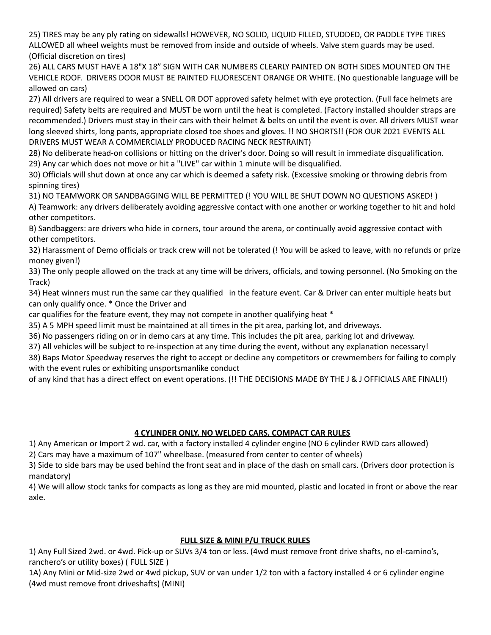25) TIRES may be any ply rating on sidewalls! HOWEVER, NO SOLID, LIQUID FILLED, STUDDED, OR PADDLE TYPE TIRES ALLOWED all wheel weights must be removed from inside and outside of wheels. Valve stem guards may be used. (Official discretion on tires)

26) ALL CARS MUST HAVE A 18"X 18" SIGN WITH CAR NUMBERS CLEARLY PAINTED ON BOTH SIDES MOUNTED ON THE VEHICLE ROOF. DRIVERS DOOR MUST BE PAINTED FLUORESCENT ORANGE OR WHITE. (No questionable language will be allowed on cars)

27) All drivers are required to wear a SNELL OR DOT approved safety helmet with eye protection. (Full face helmets are required) Safety belts are required and MUST be worn until the heat is completed. (Factory installed shoulder straps are recommended.) Drivers must stay in their cars with their helmet & belts on until the event is over. All drivers MUST wear long sleeved shirts, long pants, appropriate closed toe shoes and gloves. !! NO SHORTS!! (FOR OUR 2021 EVENTS ALL DRIVERS MUST WEAR A COMMERCIALLY PRODUCED RACING NECK RESTRAINT)

28) No deliberate head-on collisions or hitting on the driver's door. Doing so will result in immediate disqualification. 29) Any car which does not move or hit a "LIVE" car within 1 minute will be disqualified.

30) Officials will shut down at once any car which is deemed a safety risk. (Excessive smoking or throwing debris from spinning tires)

31) NO TEAMWORK OR SANDBAGGING WILL BE PERMITTED (! YOU WILL BE SHUT DOWN NO QUESTIONS ASKED! )

A) Teamwork: any drivers deliberately avoiding aggressive contact with one another or working together to hit and hold other competitors.

B) Sandbaggers: are drivers who hide in corners, tour around the arena, or continually avoid aggressive contact with other competitors.

32) Harassment of Demo officials or track crew will not be tolerated (! You will be asked to leave, with no refunds or prize money given!)

33) The only people allowed on the track at any time will be drivers, officials, and towing personnel. (No Smoking on the Track)

34) Heat winners must run the same car they qualified in the feature event. Car & Driver can enter multiple heats but can only qualify once. \* Once the Driver and

car qualifies for the feature event, they may not compete in another qualifying heat \*

35) A 5 MPH speed limit must be maintained at all times in the pit area, parking lot, and driveways.

36) No passengers riding on or in demo cars at any time. This includes the pit area, parking lot and driveway.

37) All vehicles will be subject to re-inspection at any time during the event, without any explanation necessary!

38) Baps Motor Speedway reserves the right to accept or decline any competitors or crewmembers for failing to comply with the event rules or exhibiting unsportsmanlike conduct

of any kind that has a direct effect on event operations. (!! THE DECISIONS MADE BY THE J & J OFFICIALS ARE FINAL!!)

# **4 CYLINDER ONLY, NO WELDED CARS, COMPACT CAR RULES**

1) Any American or Import 2 wd. car, with a factory installed 4 cylinder engine (NO 6 cylinder RWD cars allowed) 2) Cars may have a maximum of 107" wheelbase. (measured from center to center of wheels)

3) Side to side bars may be used behind the front seat and in place of the dash on small cars. (Drivers door protection is mandatory)

4) We will allow stock tanks for compacts as long as they are mid mounted, plastic and located in front or above the rear axle.

# **FULL SIZE & MINI P/U TRUCK RULES**

1) Any Full Sized 2wd. or 4wd. Pick-up or SUVs 3/4 ton or less. (4wd must remove front drive shafts, no el-camino's, ranchero's or utility boxes) ( FULL SIZE )

1A) Any Mini or Mid-size 2wd or 4wd pickup, SUV or van under 1/2 ton with a factory installed 4 or 6 cylinder engine (4wd must remove front driveshafts) (MINI)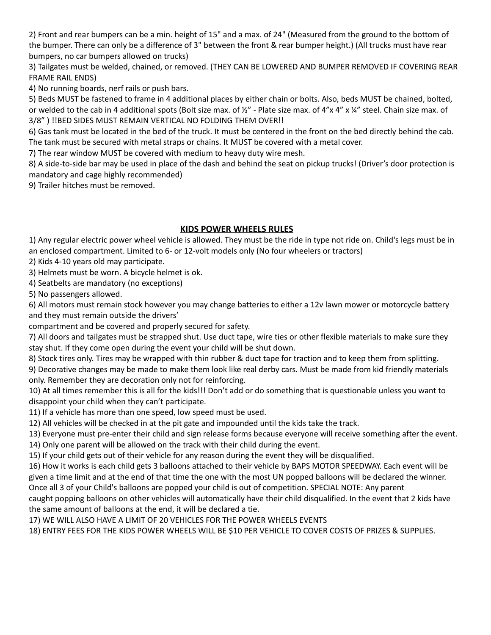2) Front and rear bumpers can be a min. height of 15" and a max. of 24" (Measured from the ground to the bottom of the bumper. There can only be a difference of 3" between the front & rear bumper height.) (All trucks must have rear bumpers, no car bumpers allowed on trucks)

3) Tailgates must be welded, chained, or removed. (THEY CAN BE LOWERED AND BUMPER REMOVED IF COVERING REAR FRAME RAIL ENDS)

4) No running boards, nerf rails or push bars.

5) Beds MUST be fastened to frame in 4 additional places by either chain or bolts. Also, beds MUST be chained, bolted, or welded to the cab in 4 additional spots (Bolt size max. of ½" - Plate size max. of 4"x 4" x ¼" steel. Chain size max. of 3/8" ) !!BED SIDES MUST REMAIN VERTICAL NO FOLDING THEM OVER!!

6) Gas tank must be located in the bed of the truck. It must be centered in the front on the bed directly behind the cab. The tank must be secured with metal straps or chains. It MUST be covered with a metal cover.

7) The rear window MUST be covered with medium to heavy duty wire mesh.

8) A side-to-side bar may be used in place of the dash and behind the seat on pickup trucks! (Driver's door protection is mandatory and cage highly recommended)

9) Trailer hitches must be removed.

# **KIDS POWER WHEELS RULES**

1) Any regular electric power wheel vehicle is allowed. They must be the ride in type not ride on. Child's legs must be in an enclosed compartment. Limited to 6- or 12-volt models only (No four wheelers or tractors)

2) Kids 4-10 years old may participate.

3) Helmets must be worn. A bicycle helmet is ok.

4) Seatbelts are mandatory (no exceptions)

5) No passengers allowed.

6) All motors must remain stock however you may change batteries to either a 12v lawn mower or motorcycle battery and they must remain outside the drivers'

compartment and be covered and properly secured for safety.

7) All doors and tailgates must be strapped shut. Use duct tape, wire ties or other flexible materials to make sure they stay shut. If they come open during the event your child will be shut down.

8) Stock tires only. Tires may be wrapped with thin rubber & duct tape for traction and to keep them from splitting.

9) Decorative changes may be made to make them look like real derby cars. Must be made from kid friendly materials only. Remember they are decoration only not for reinforcing.

10) At all times remember this is all for the kids!!! Don't add or do something that is questionable unless you want to disappoint your child when they can't participate.

11) If a vehicle has more than one speed, low speed must be used.

12) All vehicles will be checked in at the pit gate and impounded until the kids take the track.

13) Everyone must pre-enter their child and sign release forms because everyone will receive something after the event.

14) Only one parent will be allowed on the track with their child during the event.

15) If your child gets out of their vehicle for any reason during the event they will be disqualified.

16) How it works is each child gets 3 balloons attached to their vehicle by BAPS MOTOR SPEEDWAY. Each event will be given a time limit and at the end of that time the one with the most UN popped balloons will be declared the winner. Once all 3 of your Child's balloons are popped your child is out of competition. SPECIAL NOTE: Any parent

caught popping balloons on other vehicles will automatically have their child disqualified. In the event that 2 kids have the same amount of balloons at the end, it will be declared a tie.

17) WE WILL ALSO HAVE A LIMIT OF 20 VEHICLES FOR THE POWER WHEELS EVENTS

18) ENTRY FEES FOR THE KIDS POWER WHEELS WILL BE \$10 PER VEHICLE TO COVER COSTS OF PRIZES & SUPPLIES.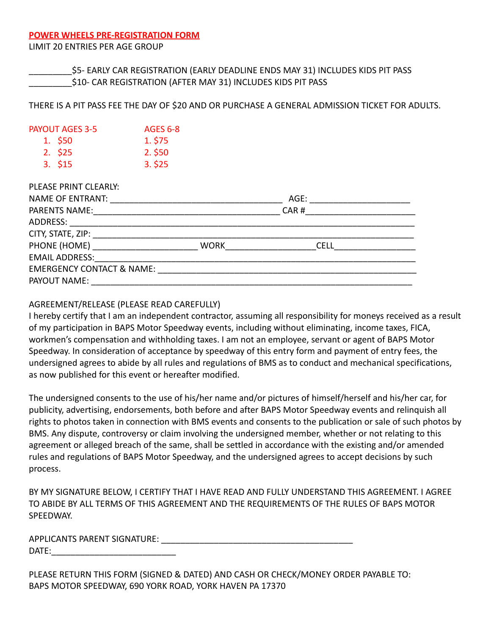### **POWER WHEELS PRE-REGISTRATION FORM**

LIMIT 20 ENTRIES PER AGE GROUP

\$5- EARLY CAR REGISTRATION (EARLY DEADLINE ENDS MAY 31) INCLUDES KIDS PIT PASS \_\_\_\_\_\_\_\_\_\$10- CAR REGISTRATION (AFTER MAY 31) INCLUDES KIDS PIT PASS

THERE IS A PIT PASS FEE THE DAY OF \$20 AND OR PURCHASE A GENERAL ADMISSION TICKET FOR ADULTS.

| <b>PAYOUT AGES 3-5</b> | <b>AGES 6-8</b> |
|------------------------|-----------------|
| 1. \$50                | 1. \$75         |
| 2.~525                 | 2.550           |
| 3.~515                 | 3.525           |

DI EACE DOINT CLEADIV.

| FLLAJL FININI ULLAINLI.                                                       |                          |             |  |
|-------------------------------------------------------------------------------|--------------------------|-------------|--|
| NAME OF ENTRANT:                                                              |                          | AGE:        |  |
|                                                                               |                          |             |  |
| ADDRESS:<br><u> 1999 - Johann Barbert, mars et al. 1999 - Anna anno 1992.</u> |                          |             |  |
|                                                                               |                          |             |  |
|                                                                               | <b>WORK Example 2009</b> | <b>CELL</b> |  |
|                                                                               |                          |             |  |
| <b>EMERGENCY CONTACT &amp; NAME:</b> NAME:                                    |                          |             |  |
| PAYOUT NAME:                                                                  |                          |             |  |
|                                                                               |                          |             |  |

# AGREEMENT/RELEASE (PLEASE READ CAREFULLY)

I hereby certify that I am an independent contractor, assuming all responsibility for moneys received as a result of my participation in BAPS Motor Speedway events, including without eliminating, income taxes, FICA, workmen's compensation and withholding taxes. I am not an employee, servant or agent of BAPS Motor Speedway. In consideration of acceptance by speedway of this entry form and payment of entry fees, the undersigned agrees to abide by all rules and regulations of BMS as to conduct and mechanical specifications, as now published for this event or hereafter modified.

The undersigned consents to the use of his/her name and/or pictures of himself/herself and his/her car, for publicity, advertising, endorsements, both before and after BAPS Motor Speedway events and relinquish all rights to photos taken in connection with BMS events and consents to the publication or sale of such photos by BMS. Any dispute, controversy or claim involving the undersigned member, whether or not relating to this agreement or alleged breach of the same, shall be settled in accordance with the existing and/or amended rules and regulations of BAPS Motor Speedway, and the undersigned agrees to accept decisions by such process.

BY MY SIGNATURE BELOW, I CERTIFY THAT I HAVE READ AND FULLY UNDERSTAND THIS AGREEMENT. I AGREE TO ABIDE BY ALL TERMS OF THIS AGREEMENT AND THE REQUIREMENTS OF THE RULES OF BAPS MOTOR SPEEDWAY.

APPLICANTS PARENT SIGNATURE: \_\_\_\_\_\_\_\_\_\_\_\_\_\_\_\_\_\_\_\_\_\_\_\_\_\_\_\_\_\_\_\_\_\_\_\_\_\_\_\_ DATE:

PLEASE RETURN THIS FORM (SIGNED & DATED) AND CASH OR CHECK/MONEY ORDER PAYABLE TO: BAPS MOTOR SPEEDWAY, 690 YORK ROAD, YORK HAVEN PA 17370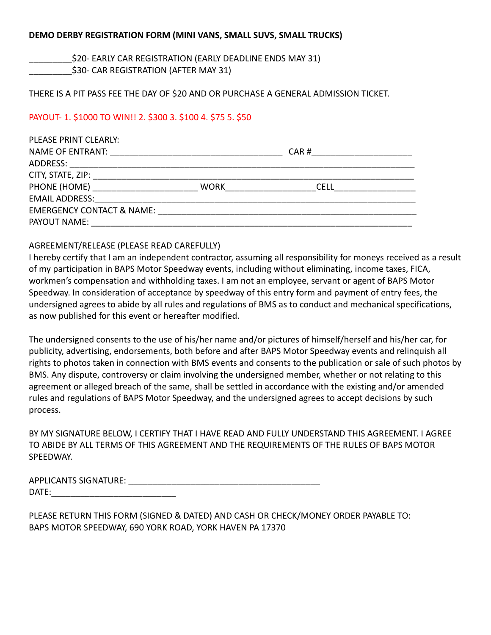### **DEMO DERBY REGISTRATION FORM (MINI VANS, SMALL SUVS, SMALL TRUCKS)**

\$20- EARLY CAR REGISTRATION (EARLY DEADLINE ENDS MAY 31)

\$30- CAR REGISTRATION (AFTER MAY 31)

#### THERE IS A PIT PASS FEE THE DAY OF \$20 AND OR PURCHASE A GENERAL ADMISSION TICKET.

# PAYOUT- 1. \$1000 TO WIN!! 2. \$300 3. \$100 4. \$75 5. \$50

| PLEASE PRINT CLEARLY:                |                                                                                                                       |             |  |
|--------------------------------------|-----------------------------------------------------------------------------------------------------------------------|-------------|--|
| NAME OF ENTRANT:                     | <u> 1980 - John Stein, Amerikaansk politik fan de Afrikaanse kommunister fan de Afrikaanse kommunister fan de Afr</u> | CAR#        |  |
| ADDRESS:                             |                                                                                                                       |             |  |
|                                      |                                                                                                                       |             |  |
| PHONE (HOME) <u>________________</u> | WORK                                                                                                                  | <b>CELL</b> |  |
| <b>EMAIL ADDRESS:</b>                |                                                                                                                       |             |  |
| <b>EMERGENCY CONTACT &amp; NAME:</b> |                                                                                                                       |             |  |
| PAYOUT NAME:                         |                                                                                                                       |             |  |
|                                      |                                                                                                                       |             |  |

# AGREEMENT/RELEASE (PLEASE READ CAREFULLY)

I hereby certify that I am an independent contractor, assuming all responsibility for moneys received as a result of my participation in BAPS Motor Speedway events, including without eliminating, income taxes, FICA, workmen's compensation and withholding taxes. I am not an employee, servant or agent of BAPS Motor Speedway. In consideration of acceptance by speedway of this entry form and payment of entry fees, the undersigned agrees to abide by all rules and regulations of BMS as to conduct and mechanical specifications, as now published for this event or hereafter modified.

The undersigned consents to the use of his/her name and/or pictures of himself/herself and his/her car, for publicity, advertising, endorsements, both before and after BAPS Motor Speedway events and relinquish all rights to photos taken in connection with BMS events and consents to the publication or sale of such photos by BMS. Any dispute, controversy or claim involving the undersigned member, whether or not relating to this agreement or alleged breach of the same, shall be settled in accordance with the existing and/or amended rules and regulations of BAPS Motor Speedway, and the undersigned agrees to accept decisions by such process.

BY MY SIGNATURE BELOW, I CERTIFY THAT I HAVE READ AND FULLY UNDERSTAND THIS AGREEMENT. I AGREE TO ABIDE BY ALL TERMS OF THIS AGREEMENT AND THE REQUIREMENTS OF THE RULES OF BAPS MOTOR SPEEDWAY.

| <b>APPLICANTS SIGNATURE:</b> |  |
|------------------------------|--|
| DATF:                        |  |

PLEASE RETURN THIS FORM (SIGNED & DATED) AND CASH OR CHECK/MONEY ORDER PAYABLE TO: BAPS MOTOR SPEEDWAY, 690 YORK ROAD, YORK HAVEN PA 17370